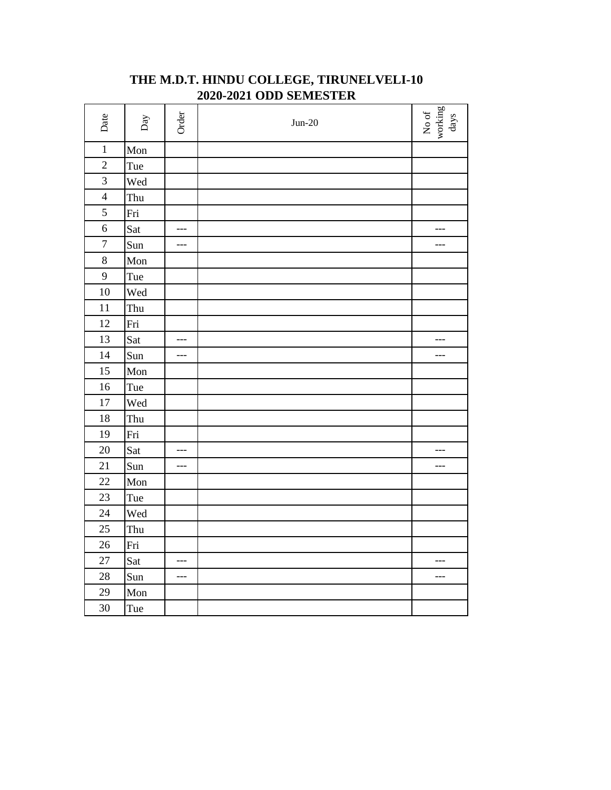| Date           | Day | Order | $Jun-20$ | No of working $_{\rm days}$ |
|----------------|-----|-------|----------|-----------------------------|
| $\mathbf{1}$   | Mon |       |          |                             |
| $\overline{c}$ | Tue |       |          |                             |
| 3              | Wed |       |          |                             |
| $\overline{4}$ | Thu |       |          |                             |
| 5              | Fri |       |          |                             |
| $\overline{6}$ | Sat | ---   |          | $---$                       |
| $\overline{7}$ | Sun | ---   |          | ---                         |
| 8              | Mon |       |          |                             |
| 9              | Tue |       |          |                             |
| 10             | Wed |       |          |                             |
| 11             | Thu |       |          |                             |
| 12             | Fri |       |          |                             |
| 13             | Sat | $---$ |          | $---$                       |
| 14             | Sun | ---   |          | $---$                       |
| 15             | Mon |       |          |                             |
| 16             | Tue |       |          |                             |
| 17             | Wed |       |          |                             |
| 18             | Thu |       |          |                             |
| 19             | Fri |       |          |                             |
| 20             | Sat | ---   |          | ---                         |
| 21             | Sun | ---   |          | $---$                       |
| 22             | Mon |       |          |                             |
| 23             | Tue |       |          |                             |
| 24             | Wed |       |          |                             |
| 25             | Thu |       |          |                             |
| 26             | Fri |       |          |                             |
| 27             | Sat | ---   |          | $---$                       |
| 28             | Sun | ---   |          | ---                         |
| 29             | Mon |       |          |                             |
| 30             | Tue |       |          |                             |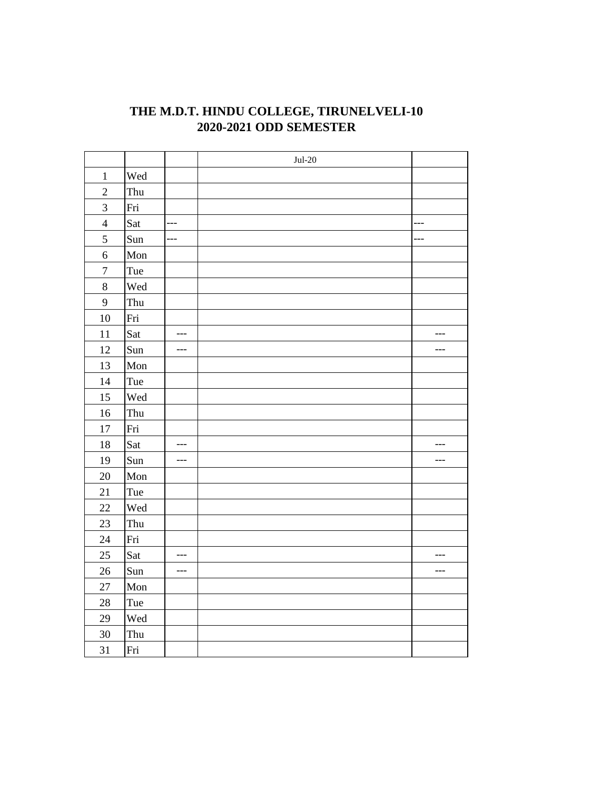|                |     |       | $Jul-20$ |       |
|----------------|-----|-------|----------|-------|
| $\mathbf{1}$   | Wed |       |          |       |
| $\overline{2}$ | Thu |       |          |       |
| $\overline{3}$ | Fri |       |          |       |
| $\overline{4}$ | Sat | ---   |          | ---   |
| 5              | Sun | ---   |          | ---   |
| $\overline{6}$ | Mon |       |          |       |
| $\overline{7}$ | Tue |       |          |       |
| 8              | Wed |       |          |       |
| 9              | Thu |       |          |       |
| 10             | Fri |       |          |       |
| 11             | Sat | $---$ |          | $---$ |
| 12             | Sun | ---   |          | $---$ |
| 13             | Mon |       |          |       |
| 14             | Tue |       |          |       |
| 15             | Wed |       |          |       |
| 16             | Thu |       |          |       |
| 17             | Fri |       |          |       |
| 18             | Sat | ---   |          | $---$ |
| 19             | Sun | $---$ |          | ---   |
| $20\,$         | Mon |       |          |       |
| 21             | Tue |       |          |       |
| 22             | Wed |       |          |       |
| 23             | Thu |       |          |       |
| 24             | Fri |       |          |       |
| 25             | Sat | $---$ |          | $---$ |
| 26             | Sun | $---$ |          | $---$ |
| $27\,$         | Mon |       |          |       |
| $28\,$         | Tue |       |          |       |
| 29             | Wed |       |          |       |
| 30             | Thu |       |          |       |
| 31             | Fri |       |          |       |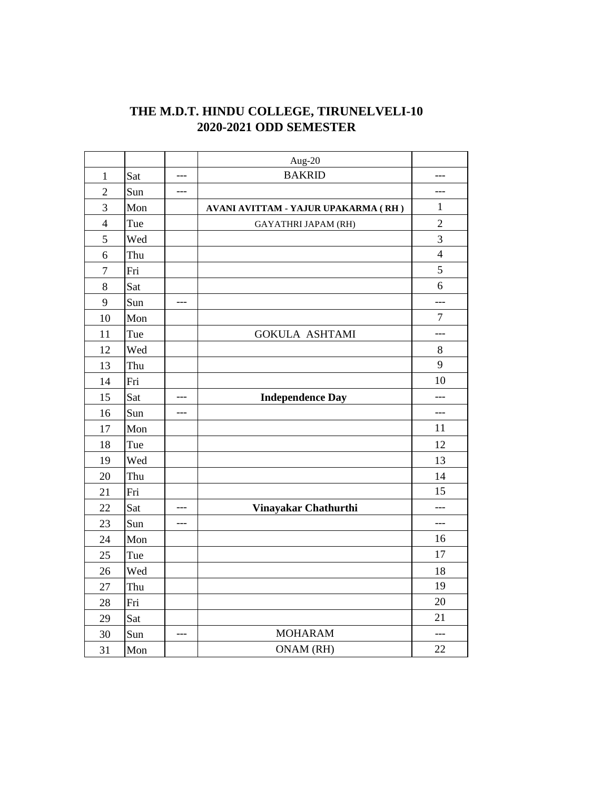|                  |     |       | Aug-20                              |                |
|------------------|-----|-------|-------------------------------------|----------------|
| $\mathbf{1}$     | Sat | $---$ | <b>BAKRID</b>                       | ---            |
| $\overline{2}$   | Sun | $---$ |                                     | $---$          |
| $\overline{3}$   | Mon |       | AVANI AVITTAM - YAJUR UPAKARMA (RH) | $\mathbf{1}$   |
| $\overline{4}$   | Tue |       | <b>GAYATHRI JAPAM (RH)</b>          | $\overline{2}$ |
| 5                | Wed |       |                                     | 3              |
| 6                | Thu |       |                                     | $\overline{4}$ |
| $\boldsymbol{7}$ | Fri |       |                                     | 5              |
| 8                | Sat |       |                                     | 6              |
| 9                | Sun | ---   |                                     | ---            |
| 10               | Mon |       |                                     | $\overline{7}$ |
| 11               | Tue |       | <b>GOKULA ASHTAMI</b>               | ---            |
| 12               | Wed |       |                                     | 8              |
| 13               | Thu |       |                                     | 9              |
| 14               | Fri |       |                                     | 10             |
| 15               | Sat | ---   | <b>Independence Day</b>             | $---$          |
| 16               | Sun | $---$ |                                     | $---$          |
| 17               | Mon |       |                                     | 11             |
| 18               | Tue |       |                                     | 12             |
| 19               | Wed |       |                                     | 13             |
| 20               | Thu |       |                                     | 14             |
| 21               | Fri |       |                                     | 15             |
| 22               | Sat | ---   | Vinayakar Chathurthi                | ---            |
| 23               | Sun | ---   |                                     | $---$          |
| 24               | Mon |       |                                     | 16             |
| 25               | Tue |       |                                     | 17             |
| 26               | Wed |       |                                     | 18             |
| 27               | Thu |       |                                     | 19             |
| 28               | Fri |       |                                     | 20             |
| 29               | Sat |       |                                     | 21             |
| 30               | Sun | ---   | <b>MOHARAM</b>                      | $---$          |
| 31               | Mon |       | ONAM (RH)                           | 22             |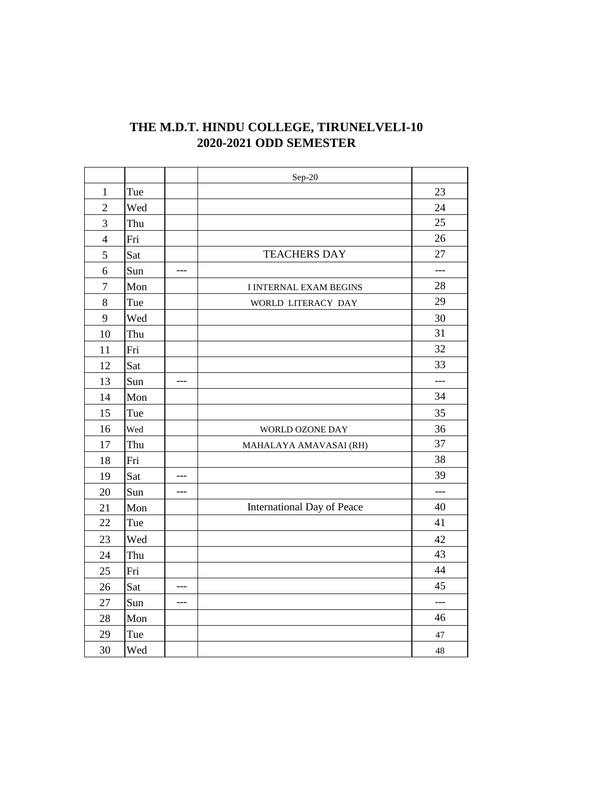|                  |     |       | Sep-20                        |       |
|------------------|-----|-------|-------------------------------|-------|
| $\mathbf{1}$     | Tue |       |                               | 23    |
| $\overline{2}$   | Wed |       |                               | 24    |
| $\overline{3}$   | Thu |       |                               | 25    |
| $\overline{4}$   | Fri |       |                               | 26    |
| 5                | Sat |       | <b>TEACHERS DAY</b>           | 27    |
| 6                | Sun | $---$ |                               | ---   |
| $\boldsymbol{7}$ | Mon |       | <b>I INTERNAL EXAM BEGINS</b> | 28    |
| 8                | Tue |       | WORLD LITERACY DAY            | 29    |
| 9                | Wed |       |                               | 30    |
| 10               | Thu |       |                               | 31    |
| 11               | Fri |       |                               | 32    |
| 12               | Sat |       |                               | 33    |
| 13               | Sun | ---   |                               | $---$ |
| 14               | Mon |       |                               | 34    |
| 15               | Tue |       |                               | 35    |
| 16               | Wed |       | WORLD OZONE DAY               | 36    |
| 17               | Thu |       | MAHALAYA AMAVASAI (RH)        | 37    |
| 18               | Fri |       |                               | 38    |
| 19               | Sat | ---   |                               | 39    |
| 20               | Sun | $---$ |                               | ---   |
| 21               | Mon |       | International Day of Peace    | 40    |
| 22               | Tue |       |                               | 41    |
| 23               | Wed |       |                               | 42    |
| 24               | Thu |       |                               | 43    |
| 25               | Fri |       |                               | 44    |
| 26               | Sat | $---$ |                               | 45    |
| 27               | Sun | $---$ |                               | $---$ |
| 28               | Mon |       |                               | 46    |
| 29               | Tue |       |                               | 47    |
| 30               | Wed |       |                               | 48    |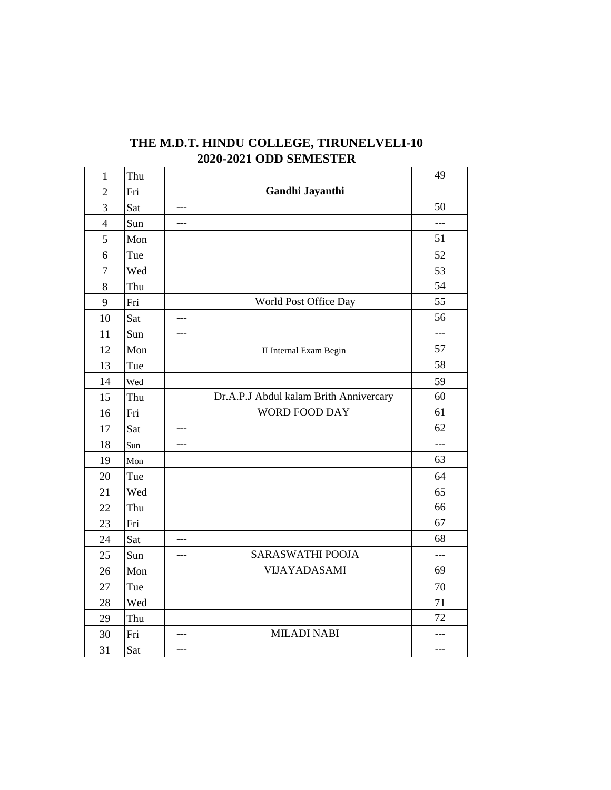| $\mathbf{1}$   | Thu |     |                                        | 49    |
|----------------|-----|-----|----------------------------------------|-------|
| $\overline{2}$ | Fri |     | Gandhi Jayanthi                        |       |
| 3              | Sat | --- |                                        | 50    |
| $\overline{4}$ | Sun | --- |                                        | ---   |
| 5              | Mon |     |                                        | 51    |
| 6              | Tue |     |                                        | 52    |
| $\tau$         | Wed |     |                                        | 53    |
| 8              | Thu |     |                                        | 54    |
| 9              | Fri |     | World Post Office Day                  | 55    |
| 10             | Sat | --- |                                        | 56    |
| 11             | Sun | --- |                                        | $---$ |
| 12             | Mon |     | II Internal Exam Begin                 | 57    |
| 13             | Tue |     |                                        | 58    |
| 14             | Wed |     |                                        | 59    |
| 15             | Thu |     | Dr.A.P.J Abdul kalam Brith Annivercary | 60    |
| 16             | Fri |     | WORD FOOD DAY                          | 61    |
| 17             | Sat | --- |                                        | 62    |
| 18             | Sun | --- |                                        | $---$ |
| 19             | Mon |     |                                        | 63    |
| 20             | Tue |     |                                        | 64    |
| 21             | Wed |     |                                        | 65    |
| 22             | Thu |     |                                        | 66    |
| 23             | Fri |     |                                        | 67    |
| 24             | Sat |     |                                        | 68    |
| 25             | Sun | --- | <b>SARASWATHI POOJA</b>                | $---$ |
| 26             | Mon |     | VIJAYADASAMI                           | 69    |
| 27             | Tue |     |                                        | 70    |
| 28             | Wed |     |                                        | 71    |
| 29             | Thu |     |                                        | 72    |
| 30             | Fri | --- | <b>MILADI NABI</b>                     | ---   |
| 31             | Sat | --- |                                        | ---   |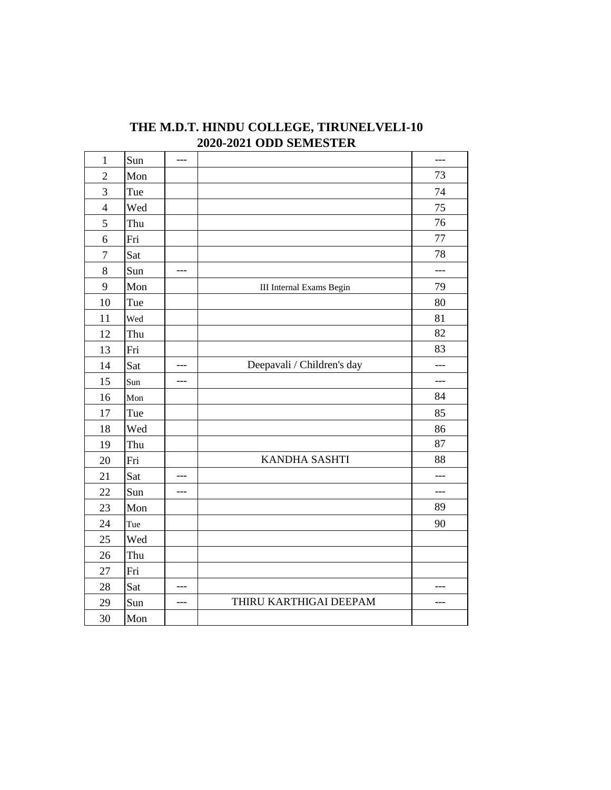| $\mathbf{1}$     | Sun | ---   |                            | ---            |
|------------------|-----|-------|----------------------------|----------------|
| $\overline{2}$   | Mon |       |                            | 73             |
| $\overline{3}$   | Tue |       |                            | 74             |
| $\overline{4}$   | Wed |       |                            | 75             |
| 5                | Thu |       |                            | 76             |
| 6                | Fri |       |                            | 77             |
| $\boldsymbol{7}$ | Sat |       |                            | 78             |
| 8                | Sun | ---   |                            | $---$          |
| 9                | Mon |       | III Internal Exams Begin   | 79             |
| 10               | Tue |       |                            | 80             |
| 11               | Wed |       |                            | 81             |
| 12               | Thu |       |                            | 82             |
| 13               | Fri |       |                            | 83             |
| 14               | Sat | $---$ | Deepavali / Children's day | $---$          |
| 15               | Sun | ---   |                            | $\overline{a}$ |
| 16               | Mon |       |                            | 84             |
| 17               | Tue |       |                            | 85             |
| 18               | Wed |       |                            | 86             |
| 19               | Thu |       |                            | 87             |
| 20               | Fri |       | KANDHA SASHTI              | 88             |
| 21               | Sat | $---$ |                            | ---            |
| 22               | Sun | ---   |                            | ---            |
| 23               | Mon |       |                            | 89             |
| 24               | Tue |       |                            | 90             |
| 25               | Wed |       |                            |                |
| 26               | Thu |       |                            |                |
| 27               | Fri |       |                            |                |
| 28               | Sat | ---   |                            | ---            |
| 29               | Sun | ---   | THIRU KARTHIGAI DEEPAM     | ---            |
| 30               | Mon |       |                            |                |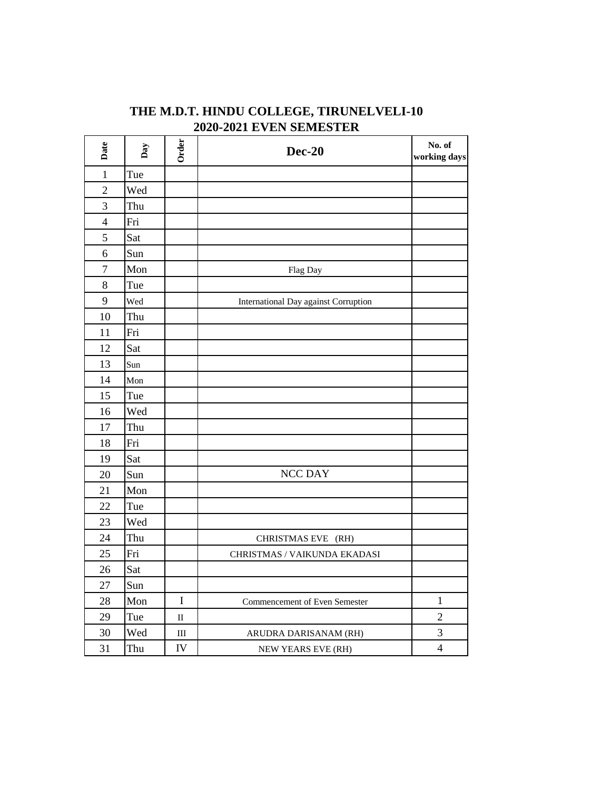| THE M.D.T. HINDU COLLEGE, TIRUNELVELI-10 |  |
|------------------------------------------|--|
| <b>2020-2021 EVEN SEMESTER</b>           |  |

| Date                     | Day | Order                       | <b>Dec-20</b>                        | No. of<br>working days |
|--------------------------|-----|-----------------------------|--------------------------------------|------------------------|
| $\mathbf{1}$             | Tue |                             |                                      |                        |
| $\overline{2}$           | Wed |                             |                                      |                        |
| 3                        | Thu |                             |                                      |                        |
| $\overline{\mathcal{L}}$ | Fri |                             |                                      |                        |
| 5                        | Sat |                             |                                      |                        |
| 6                        | Sun |                             |                                      |                        |
| $\boldsymbol{7}$         | Mon |                             | Flag Day                             |                        |
| $8\,$                    | Tue |                             |                                      |                        |
| 9                        | Wed |                             | International Day against Corruption |                        |
| 10                       | Thu |                             |                                      |                        |
| 11                       | Fri |                             |                                      |                        |
| 12                       | Sat |                             |                                      |                        |
| 13                       | Sun |                             |                                      |                        |
| 14                       | Mon |                             |                                      |                        |
| 15                       | Tue |                             |                                      |                        |
| 16                       | Wed |                             |                                      |                        |
| 17                       | Thu |                             |                                      |                        |
| 18                       | Fri |                             |                                      |                        |
| 19                       | Sat |                             |                                      |                        |
| 20                       | Sun |                             | <b>NCC DAY</b>                       |                        |
| 21                       | Mon |                             |                                      |                        |
| 22                       | Tue |                             |                                      |                        |
| 23                       | Wed |                             |                                      |                        |
| 24                       | Thu |                             | CHRISTMAS EVE (RH)                   |                        |
| 25                       | Fri |                             | CHRISTMAS / VAIKUNDA EKADASI         |                        |
| 26                       | Sat |                             |                                      |                        |
| 27                       | Sun |                             |                                      |                        |
| 28                       | Mon | $\overline{I}$              | Commencement of Even Semester        | $\mathbf{1}$           |
| 29                       | Tue | $\rm II$                    |                                      | $\sqrt{2}$             |
| 30                       | Wed | $\mathop{\rm III}\nolimits$ | ARUDRA DARISANAM (RH)                | 3                      |
| 31                       | Thu | IV                          | NEW YEARS EVE (RH)                   | $\overline{4}$         |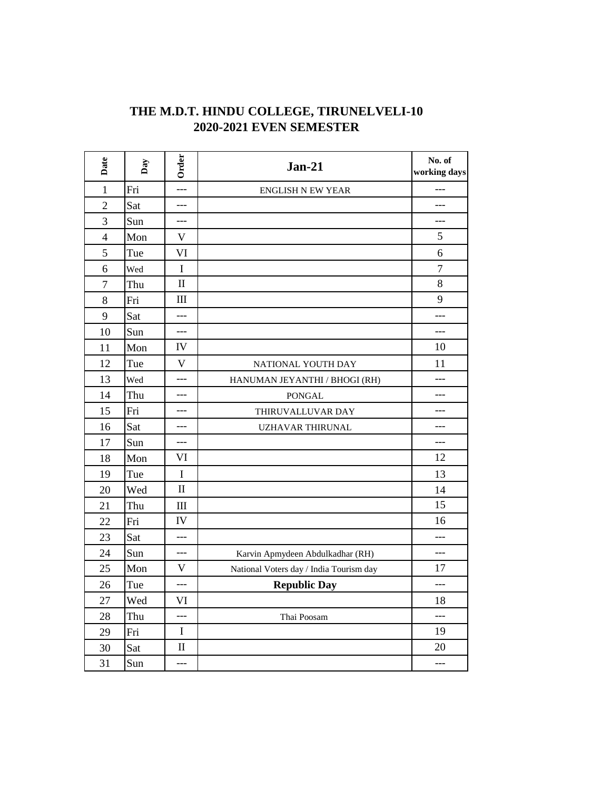| THE M.D.T. HINDU COLLEGE, TIRUNELVELI-10 |  |
|------------------------------------------|--|
| <b>2020-2021 EVEN SEMESTER</b>           |  |

| Date           | Day | Order        | $Jan-21$                                | No. of<br>working days |
|----------------|-----|--------------|-----------------------------------------|------------------------|
| $\mathbf{1}$   | Fri | $---$        | <b>ENGLISH N EW YEAR</b>                |                        |
| $\overline{2}$ | Sat | ---          |                                         | ---                    |
| 3              | Sun | ---          |                                         | ---                    |
| $\overline{4}$ | Mon | V            |                                         | 5                      |
| 5              | Tue | VI           |                                         | 6                      |
| 6              | Wed | I            |                                         | $\overline{7}$         |
| $\overline{7}$ | Thu | $\rm II$     |                                         | 8                      |
| 8              | Fri | III          |                                         | 9                      |
| 9              | Sat | ---          |                                         | ---                    |
| 10             | Sun | ---          |                                         | ---                    |
| 11             | Mon | IV           |                                         | 10                     |
| 12             | Tue | $\mathbf{V}$ | NATIONAL YOUTH DAY                      | 11                     |
| 13             | Wed | $---$        | HANUMAN JEYANTHI / BHOGI (RH)           | $---$                  |
| 14             | Thu | $---$        | <b>PONGAL</b>                           | ---                    |
| 15             | Fri | $---$        | THIRUVALLUVAR DAY                       | ---                    |
| 16             | Sat | ---          | <b>UZHAVAR THIRUNAL</b>                 | ---                    |
| 17             | Sun | ---          |                                         | ---                    |
| 18             | Mon | VI           |                                         | 12                     |
| 19             | Tue | $\bf I$      |                                         | 13                     |
| 20             | Wed | $\mathbf{I}$ |                                         | 14                     |
| 21             | Thu | Ш            |                                         | 15                     |
| 22             | Fri | IV           |                                         | 16                     |
| 23             | Sat | $---$        |                                         | ---                    |
| 24             | Sun | ---          | Karvin Apmydeen Abdulkadhar (RH)        | ---                    |
| 25             | Mon | $\mathbf V$  | National Voters day / India Tourism day | 17                     |
| 26             | Tue | $---$        | <b>Republic Day</b>                     | $---$                  |
| 27             | Wed | VI           |                                         | 18                     |
| 28             | Thu | $---$        | Thai Poosam                             | $---$                  |
| 29             | Fri | $\mathbf I$  |                                         | 19                     |
| 30             | Sat | $\mathbf{I}$ |                                         | 20                     |
| 31             | Sun | $---$        |                                         | ---                    |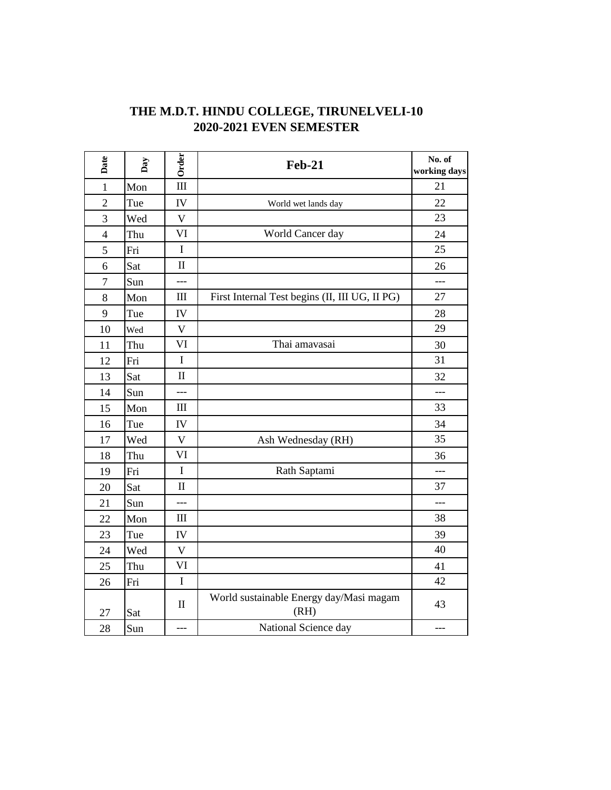| THE M.D.T. HINDU COLLEGE, TIRUNELVELI-10 |  |
|------------------------------------------|--|
| <b>2020-2021 EVEN SEMESTER</b>           |  |

| Date           | Day | Order              | <b>Feb-21</b>                                   | No. of<br>working days |
|----------------|-----|--------------------|-------------------------------------------------|------------------------|
| $\mathbf{1}$   | Mon | $\rm III$          |                                                 | 21                     |
| $\overline{c}$ | Tue | IV                 | World wet lands day                             | 22                     |
| $\overline{3}$ | Wed | $\mathbf V$        |                                                 | 23                     |
| 4              | Thu | VI                 | World Cancer day                                | 24                     |
| 5              | Fri | $\mathbf I$        |                                                 | 25                     |
| 6              | Sat | $\rm II$           |                                                 | 26                     |
| 7              | Sun | ---                |                                                 | ---                    |
| 8              | Mon | $\rm III$          | First Internal Test begins (II, III UG, II PG)  | 27                     |
| 9              | Tue | IV                 |                                                 | 28                     |
| 10             | Wed | $\mathbf{V}$       |                                                 | 29                     |
| 11             | Thu | VI                 | Thai amavasai                                   | 30                     |
| 12             | Fri | $\bf I$            |                                                 | 31                     |
| 13             | Sat | $\mathbf{I}$       |                                                 | 32                     |
| 14             | Sun | $---$              |                                                 | $---$                  |
| 15             | Mon | $\mathop{\rm III}$ |                                                 | 33                     |
| 16             | Tue | ${\rm IV}$         |                                                 | 34                     |
| 17             | Wed | $\mathbf V$        | Ash Wednesday (RH)                              | 35                     |
| 18             | Thu | VI                 |                                                 | 36                     |
| 19             | Fri | $\mathbf I$        | Rath Saptami                                    | ---                    |
| 20             | Sat | $\mathbf H$        |                                                 | 37                     |
| 21             | Sun | $\overline{a}$     |                                                 | ---                    |
| 22             | Mon | $\rm III$          |                                                 | 38                     |
| 23             | Tue | IV                 |                                                 | 39                     |
| 24             | Wed | $\mathbf V$        |                                                 | 40                     |
| 25             | Thu | VI                 |                                                 | 41                     |
| 26             | Fri | $\mathbf I$        |                                                 | 42                     |
| 27             | Sat | $\rm II$           | World sustainable Energy day/Masi magam<br>(RH) | 43                     |
| 28             | Sun | $---$              | National Science day                            | $---$                  |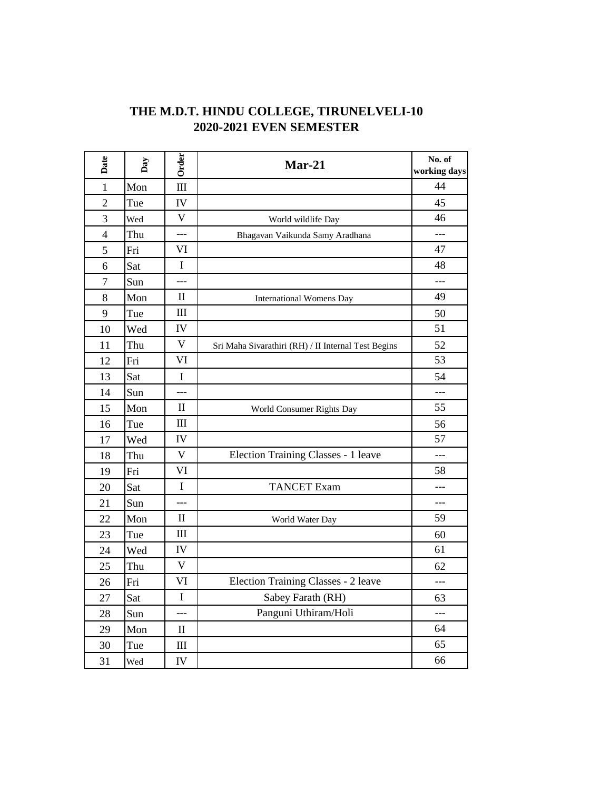| THE M.D.T. HINDU COLLEGE, TIRUNELVELI-10 |  |
|------------------------------------------|--|
| <b>2020-2021 EVEN SEMESTER</b>           |  |

| Date           | Day | Order                           | $Mar-21$                                            | No. of<br>working days |
|----------------|-----|---------------------------------|-----------------------------------------------------|------------------------|
| $\mathbf{1}$   | Mon | III                             |                                                     | 44                     |
| $\overline{c}$ | Tue | IV                              |                                                     | 45                     |
| 3              | Wed | $\mathbf{V}$                    | World wildlife Day                                  | 46                     |
| 4              | Thu | ---                             | Bhagavan Vaikunda Samy Aradhana                     | ---                    |
| 5              | Fri | VI                              |                                                     | 47                     |
| 6              | Sat | $\mathbf I$                     |                                                     | 48                     |
| $\overline{7}$ | Sun | $-$                             |                                                     | ---                    |
| 8              | Mon | $\mathbf{I}$                    | <b>International Womens Day</b>                     | 49                     |
| 9              | Tue | III                             |                                                     | 50                     |
| 10             | Wed | IV                              |                                                     | 51                     |
| 11             | Thu | $\ensuremath{\mathsf{V}}$       | Sri Maha Sivarathiri (RH) / II Internal Test Begins | 52                     |
| 12             | Fri | VI                              |                                                     | 53                     |
| 13             | Sat | $\mathbf I$                     |                                                     | 54                     |
| 14             | Sun |                                 |                                                     |                        |
| 15             | Mon | $\mathbf{I}$                    | World Consumer Rights Day                           | 55                     |
| 16             | Tue | III                             |                                                     | 56                     |
| 17             | Wed | IV                              |                                                     | 57                     |
| 18             | Thu | $\overline{\mathsf{V}}$         | Election Training Classes - 1 leave                 | $---$                  |
| 19             | Fri | VI                              |                                                     | 58                     |
| 20             | Sat | I                               | <b>TANCET</b> Exam                                  | ---                    |
| 21             | Sun |                                 |                                                     | ---                    |
| 22             | Mon | П                               | World Water Day                                     | 59                     |
| 23             | Tue | $\rm III$                       |                                                     | 60                     |
| 24             | Wed | IV                              |                                                     | 61                     |
| 25             | Thu | $\mathbf V$                     |                                                     | 62                     |
| 26             | Fri | VI                              | Election Training Classes - 2 leave                 | ---                    |
| 27             | Sat | I                               | Sabey Farath (RH)                                   | 63                     |
| 28             | Sun | ---                             | Panguni Uthiram/Holi                                | ---                    |
| 29             | Mon | $\mathop{\mathrm{II}}\nolimits$ |                                                     | 64                     |
| 30             | Tue | Ш                               |                                                     | 65                     |
| 31             | Wed | IV                              |                                                     | 66                     |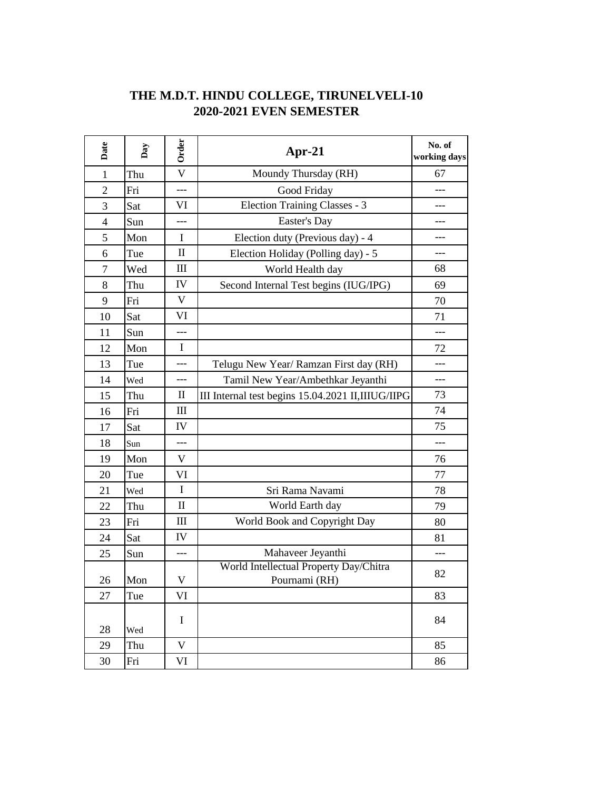| Date           | $_{\text{Day}}$ | Order                   | Apr-21                                                  | No. of<br>working days |
|----------------|-----------------|-------------------------|---------------------------------------------------------|------------------------|
| $\mathbf{1}$   | Thu             | $\overline{\mathsf{V}}$ | Moundy Thursday (RH)                                    | 67                     |
| $\overline{2}$ | Fri             | $---$                   | Good Friday                                             | ---                    |
| 3              | Sat             | VI                      | Election Training Classes - 3                           |                        |
| $\overline{4}$ | Sun             | ---                     | Easter's Day                                            | ---                    |
| 5              | Mon             | $\mathbf I$             | Election duty (Previous day) - 4                        |                        |
| 6              | Tue             | $\mathbf{I}$            | Election Holiday (Polling day) - 5                      |                        |
| $\tau$         | Wed             | Ш                       | World Health day                                        | 68                     |
| 8              | Thu             | IV                      | Second Internal Test begins (IUG/IPG)                   | 69                     |
| 9              | Fri             | $\mathbf V$             |                                                         | 70                     |
| 10             | Sat             | VI                      |                                                         | 71                     |
| 11             | Sun             | ---                     |                                                         | ---                    |
| 12             | Mon             | $\mathbf I$             |                                                         | 72                     |
| 13             | Tue             | ---                     | Telugu New Year/ Ramzan First day (RH)                  | ---                    |
| 14             | Wed             | ---                     | Tamil New Year/Ambethkar Jeyanthi                       | ---                    |
| 15             | Thu             | $\mathbf{I}$            | III Internal test begins 15.04.2021 II, IIIUG/IIPG      | 73                     |
| 16             | Fri             | Ш                       |                                                         | 74                     |
| 17             | Sat             | IV                      |                                                         | 75                     |
| 18             | Sun             | ---                     |                                                         | ---                    |
| 19             | Mon             | V                       |                                                         | 76                     |
| 20             | Tue             | VI                      |                                                         | 77                     |
| 21             | Wed             | $\mathbf I$             | Sri Rama Navami                                         | 78                     |
| 22             | Thu             | $\mathbf{I}$            | World Earth day                                         | 79                     |
| 23             | Fri             | $\mathop{\rm III}$      | World Book and Copyright Day                            | 80                     |
| 24             | Sat             | IV                      |                                                         | 81                     |
| 25             | Sun             | ---                     | Mahaveer Jeyanthi                                       |                        |
| $26\,$         | Mon             | V                       | World Intellectual Property Day/Chitra<br>Pournami (RH) | 82                     |
| 27             | Tue             | VI                      |                                                         | 83                     |
| 28             | Wed             | I                       |                                                         | 84                     |
| 29             | Thu             | $\mathbf V$             |                                                         | 85                     |
| 30             | Fri             | VI                      |                                                         | 86                     |